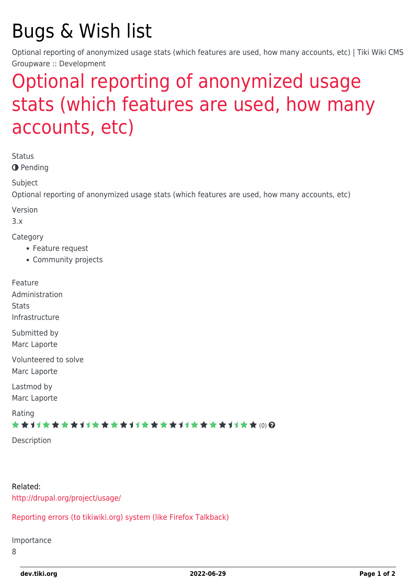## Bugs & Wish list

Optional reporting of anonymized usage stats (which features are used, how many accounts, etc) | Tiki Wiki CMS Groupware :: Development

## [Optional reporting of anonymized usage](https://dev.tiki.org/item2114-Optional-reporting-of-anonymized-usage-stats-which-features-are-used-how-many-accounts-etc) [stats \(which features are used, how many](https://dev.tiki.org/item2114-Optional-reporting-of-anonymized-usage-stats-which-features-are-used-how-many-accounts-etc) [accounts, etc\)](https://dev.tiki.org/item2114-Optional-reporting-of-anonymized-usage-stats-which-features-are-used-how-many-accounts-etc)

Status

**O** Pending

Subject

Optional reporting of anonymized usage stats (which features are used, how many accounts, etc)

Version

3.x

Category

- Feature request
- Community projects

Feature Administration **Stats** Infrastructure Submitted by Marc Laporte Volunteered to solve Marc Laporte Lastmod by Marc Laporte Rating

\*\*\*\*\*\*\*\*\*\*\*\*\*\*\*\*\*\*\*\*\*\*\*\*\*\*\*\*\*\*

Description

Related: <http://drupal.org/project/usage/>

[Reporting errors \(to tikiwiki.org\) system \(like Firefox Talkback\)](https://dev.tiki.org/wish1416)

Importance

8